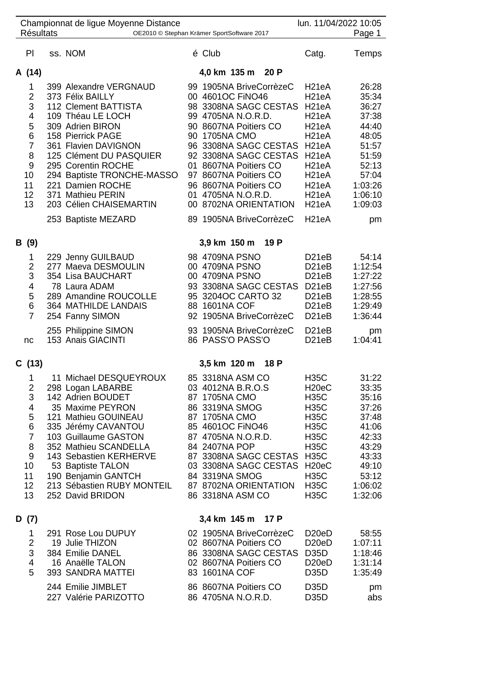| <b>Résultats</b>                                                                               | Championnat de ligue Moyenne Distance                                                                                                                                                                                                                                                                                              | OE2010 © Stephan Krämer SportSoftware 2017                                                                                                                                                                                                                                                                                                  |                                                                                                                                                                                                                                                                                                                  | lun. 11/04/2022 10:05<br>Page 1                                                                                               |
|------------------------------------------------------------------------------------------------|------------------------------------------------------------------------------------------------------------------------------------------------------------------------------------------------------------------------------------------------------------------------------------------------------------------------------------|---------------------------------------------------------------------------------------------------------------------------------------------------------------------------------------------------------------------------------------------------------------------------------------------------------------------------------------------|------------------------------------------------------------------------------------------------------------------------------------------------------------------------------------------------------------------------------------------------------------------------------------------------------------------|-------------------------------------------------------------------------------------------------------------------------------|
| PI                                                                                             | ss. NOM                                                                                                                                                                                                                                                                                                                            | é Club                                                                                                                                                                                                                                                                                                                                      | Catg.                                                                                                                                                                                                                                                                                                            | Temps                                                                                                                         |
| A (14)                                                                                         |                                                                                                                                                                                                                                                                                                                                    | 4,0 km 135 m 20 P                                                                                                                                                                                                                                                                                                                           |                                                                                                                                                                                                                                                                                                                  |                                                                                                                               |
| 1<br>$\overline{2}$<br>3<br>4<br>5<br>6<br>$\overline{7}$<br>8<br>9<br>10<br>11<br>12<br>13    | 399 Alexandre VERGNAUD<br>373 Félix BAILLY<br>112 Clement BATTISTA<br>109 Théau LE LOCH<br>309 Adrien BIRON<br>158 Pierrick PAGE<br>361 Flavien DAVIGNON<br>125 Clément DU PASQUIER<br>295 Corentin ROCHE<br>294 Baptiste TRONCHE-MASSO<br>221 Damien ROCHE<br>371 Mathieu PERIN<br>203 Célien CHAISEMARTIN<br>253 Baptiste MEZARD | 99 1905NA BriveCorrèzeC<br>00 4601OC FINO46<br>98 3308NA SAGC CESTAS<br>99 4705NA N.O.R.D.<br>90 8607NA Poitiers CO<br>90 1705NA CMO<br>96 3308NA SAGC CESTAS<br>92 3308NA SAGC CESTAS<br>01 8607NA Poitiers CO<br>97 8607NA Poitiers CO<br>96 8607NA Poitiers CO<br>01 4705NA N.O.R.D.<br>00 8702NA ORIENTATION<br>89 1905NA BriveCorrèzeC | H <sub>21</sub> eA<br>H <sub>21</sub> eA<br>H <sub>21</sub> eA<br>H <sub>21</sub> eA<br>H <sub>21</sub> eA<br>H <sub>21</sub> eA<br>H <sub>21</sub> eA<br>H <sub>21</sub> eA<br>H <sub>21</sub> eA<br>H <sub>21</sub> eA<br>H <sub>21</sub> eA<br>H <sub>21</sub> eA<br>H <sub>21</sub> eA<br>H <sub>21</sub> eA | 26:28<br>35:34<br>36:27<br>37:38<br>44:40<br>48:05<br>51:57<br>51:59<br>52:13<br>57:04<br>1:03:26<br>1:06:10<br>1:09:03<br>pm |
| B (9)                                                                                          |                                                                                                                                                                                                                                                                                                                                    | 3,9 km 150 m<br>19 P                                                                                                                                                                                                                                                                                                                        |                                                                                                                                                                                                                                                                                                                  |                                                                                                                               |
| 1<br>2<br>3<br>4<br>5<br>6<br>$\overline{7}$                                                   | 229 Jenny GUILBAUD<br>277 Maeva DESMOULIN<br>354 Lisa BAUCHART<br>78 Laura ADAM<br>289 Amandine ROUCOLLE<br>364 MATHILDE LANDAIS<br>254 Fanny SIMON                                                                                                                                                                                | 98 4709NA PSNO<br>00 4709NA PSNO<br>00 4709NA PSNO<br>93 3308NA SAGC CESTAS<br>95 3204OC CARTO 32<br>88 1601NA COF<br>92 1905NA BriveCorrèzeC                                                                                                                                                                                               | D <sub>21</sub> eB<br>D <sub>21</sub> eB<br>D <sub>21</sub> eB<br>D <sub>21</sub> eB<br>D <sub>21</sub> eB<br>D <sub>21</sub> eB<br>D <sub>21</sub> eB                                                                                                                                                           | 54:14<br>1:12:54<br>1:27:22<br>1:27:56<br>1:28:55<br>1:29:49<br>1:36:44                                                       |
| nc                                                                                             | 255 Philippine SIMON<br>153 Anais GIACINTI                                                                                                                                                                                                                                                                                         | 93 1905NA BriveCorrèzeC<br>86 PASS'O PASS'O                                                                                                                                                                                                                                                                                                 | D <sub>21</sub> eB<br>D <sub>21</sub> eB                                                                                                                                                                                                                                                                         | pm<br>1:04:41                                                                                                                 |
| C (13)                                                                                         |                                                                                                                                                                                                                                                                                                                                    | 3,5 km 120 m<br>18 P                                                                                                                                                                                                                                                                                                                        |                                                                                                                                                                                                                                                                                                                  |                                                                                                                               |
| 1.<br>2<br>3<br>4<br>5<br>6<br>$\overline{7}$<br>8<br>$\boldsymbol{9}$<br>10<br>11<br>12<br>13 | 11 Michael DESQUEYROUX<br>298 Logan LABARBE<br>142 Adrien BOUDET<br>35 Maxime PEYRON<br>121 Mathieu GOUINEAU<br>335 Jérémy CAVANTOU<br>103 Guillaume GASTON<br>352 Mathieu SCANDELLA<br>143 Sebastien KERHERVE<br>53 Baptiste TALON<br>190 Benjamin GANTCH<br>213 Sébastien RUBY MONTEIL 87 8702NA ORIENTATION<br>252 David BRIDON | 85 3318NA ASM CO<br>03 4012NA B.R.O.S<br>87 1705NA CMO<br>86 3319NA SMOG<br>87 1705NA CMO<br>85 4601OC FINO46<br>87 4705NA N.O.R.D.<br>84 2407NA POP<br>87 3308NA SAGC CESTAS H35C<br>03 3308NA SAGC CESTAS H20eC<br>84 3319NA SMOG<br>86 3318NA ASM CO                                                                                     | <b>H35C</b><br>H <sub>20e</sub> C<br><b>H35C</b><br><b>H35C</b><br><b>H35C</b><br><b>H35C</b><br><b>H35C</b><br><b>H35C</b><br><b>H35C</b><br><b>H35C</b><br><b>H35C</b>                                                                                                                                         | 31:22<br>33:35<br>35:16<br>37:26<br>37:48<br>41:06<br>42:33<br>43:29<br>43:33<br>49:10<br>53:12<br>1:06:02<br>1:32:06         |
| D (7)                                                                                          |                                                                                                                                                                                                                                                                                                                                    | 3,4 km 145 m 17 P                                                                                                                                                                                                                                                                                                                           |                                                                                                                                                                                                                                                                                                                  |                                                                                                                               |
| 1<br>$\overline{2}$<br>3<br>4<br>5                                                             | 291 Rose Lou DUPUY<br>19 Julie THIZON<br>384 Emilie DANEL<br>16 Anaëlle TALON<br>393 SANDRA MATTEI                                                                                                                                                                                                                                 | 02 1905NA BriveCorrèzeC<br>02 8607NA Poitiers CO<br>86 3308NA SAGC CESTAS D35D<br>02 8607NA Poitiers CO<br>83 1601NA COF                                                                                                                                                                                                                    | D <sub>20</sub> eD<br>D <sub>20</sub> eD<br>D <sub>20</sub> eD<br>D <sub>35</sub> D                                                                                                                                                                                                                              | 58:55<br>1:07:11<br>1:18:46<br>1:31:14<br>1:35:49                                                                             |
|                                                                                                | 244 Emilie JIMBLET<br>227 Valérie PARIZOTTO                                                                                                                                                                                                                                                                                        | 86 8607NA Poitiers CO<br>86 4705NA N.O.R.D.                                                                                                                                                                                                                                                                                                 | D <sub>35</sub> D<br>D <sub>35</sub> D                                                                                                                                                                                                                                                                           | pm<br>abs                                                                                                                     |
|                                                                                                |                                                                                                                                                                                                                                                                                                                                    |                                                                                                                                                                                                                                                                                                                                             |                                                                                                                                                                                                                                                                                                                  |                                                                                                                               |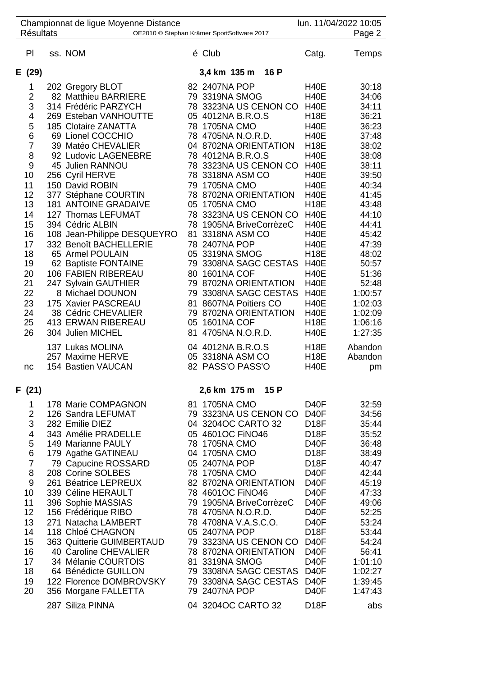| Championnat de ligue Moyenne Distance<br><b>Résultats</b><br>OE2010 © Stephan Krämer SportSoftware 2017 |                                                                                                                                                 |  |                                                                                                                                                                                                                                                                                                                                                                                                                                                                                                                                                                                                                         |                |                                                                                                                                                                                                                                                                                                                                                                                                                                                                                                                                                                   |  |                                                                                                                                                                                                                                                                                                                                                                                                    | lun. 11/04/2022 10:05<br>Page 2                                                                                                                                                                                                                  |
|---------------------------------------------------------------------------------------------------------|-------------------------------------------------------------------------------------------------------------------------------------------------|--|-------------------------------------------------------------------------------------------------------------------------------------------------------------------------------------------------------------------------------------------------------------------------------------------------------------------------------------------------------------------------------------------------------------------------------------------------------------------------------------------------------------------------------------------------------------------------------------------------------------------------|----------------|-------------------------------------------------------------------------------------------------------------------------------------------------------------------------------------------------------------------------------------------------------------------------------------------------------------------------------------------------------------------------------------------------------------------------------------------------------------------------------------------------------------------------------------------------------------------|--|----------------------------------------------------------------------------------------------------------------------------------------------------------------------------------------------------------------------------------------------------------------------------------------------------------------------------------------------------------------------------------------------------|--------------------------------------------------------------------------------------------------------------------------------------------------------------------------------------------------------------------------------------------------|
|                                                                                                         | PI                                                                                                                                              |  | ss. NOM                                                                                                                                                                                                                                                                                                                                                                                                                                                                                                                                                                                                                 |                | é Club                                                                                                                                                                                                                                                                                                                                                                                                                                                                                                                                                            |  | Catg.                                                                                                                                                                                                                                                                                                                                                                                              | Temps                                                                                                                                                                                                                                            |
|                                                                                                         | E (29)                                                                                                                                          |  |                                                                                                                                                                                                                                                                                                                                                                                                                                                                                                                                                                                                                         |                | 3,4 km 135 m<br>16 P                                                                                                                                                                                                                                                                                                                                                                                                                                                                                                                                              |  |                                                                                                                                                                                                                                                                                                                                                                                                    |                                                                                                                                                                                                                                                  |
|                                                                                                         | 1<br>2<br>3<br>4<br>5<br>6<br>7<br>8<br>9<br>10<br>11<br>12<br>13<br>14<br>15<br>16<br>17<br>18<br>19<br>20<br>21<br>22<br>23<br>24<br>25<br>26 |  | 202 Gregory BLOT<br>82 Matthieu BARRIERE<br>314 Frédéric PARZYCH<br>269 Esteban VANHOUTTE<br><b>185 Clotaire ZANATTA</b><br>69 Lionel COCCHIO<br>39 Matéo CHEVALIER<br>92 Ludovic LAGENEBRE<br>45 Julien RANNOU<br>256 Cyril HERVE<br>150 David ROBIN<br>377 Stéphane COURTIN<br><b>181 ANTOINE GRADAIVE</b><br>127 Thomas LEFUMAT<br>394 Cédric ALBIN<br>108 Jean-Philippe DESQUEYRO<br>332 Benoît BACHELLERIE<br>65 Armel POULAIN<br>62 Baptiste FONTAINE<br>106 FABIEN RIBEREAU<br>247 Sylvain GAUTHIER<br>8 Michael DOUNON<br>175 Xavier PASCREAU<br>38 Cédric CHEVALIER<br>413 ERWAN RIBEREAU<br>304 Julien MICHEL | 81<br>81<br>81 | 82 2407NA POP<br>79 3319NA SMOG<br>78 3323NA US CENON CO<br>05 4012NA B.R.O.S<br>78 1705NA CMO<br>78 4705NA N.O.R.D.<br>04 8702NA ORIENTATION<br>78 4012NA B.R.O.S<br>78 3323NA US CENON CO<br>78 3318NA ASM CO<br>79 1705NA CMO<br>78 8702NA ORIENTATION<br>05 1705NA CMO<br>78 3323NA US CENON CO<br>78 1905NA BriveCorrèzeC<br>3318NA ASM CO<br>78 2407NA POP<br>05 3319NA SMOG<br>79 3308NA SAGC CESTAS<br>80 1601NA COF<br>79 8702NA ORIENTATION<br>79 3308NA SAGC CESTAS<br>8607NA Poitiers CO<br>79 8702NA ORIENTATION<br>05 1601NA COF<br>4705NA N.O.R.D. |  | <b>H40E</b><br><b>H40E</b><br><b>H40E</b><br><b>H18E</b><br><b>H40E</b><br><b>H40E</b><br><b>H18E</b><br><b>H40E</b><br><b>H40E</b><br><b>H40E</b><br><b>H40E</b><br><b>H40E</b><br><b>H18E</b><br><b>H40E</b><br><b>H40E</b><br><b>H40E</b><br><b>H40E</b><br><b>H18E</b><br><b>H40E</b><br><b>H40E</b><br><b>H40E</b><br><b>H40E</b><br><b>H40E</b><br><b>H40E</b><br><b>H18E</b><br><b>H40E</b> | 30:18<br>34:06<br>34:11<br>36:21<br>36:23<br>37:48<br>38:02<br>38:08<br>38:11<br>39:50<br>40:34<br>41:45<br>43:48<br>44:10<br>44:41<br>45:42<br>47:39<br>48:02<br>50:57<br>51:36<br>52:48<br>1:00:57<br>1:02:03<br>1:02:09<br>1:06:16<br>1:27:35 |
|                                                                                                         | nc                                                                                                                                              |  | 137 Lukas MOLINA<br>257 Maxime HERVE<br>154 Bastien VAUCAN                                                                                                                                                                                                                                                                                                                                                                                                                                                                                                                                                              |                | 04 4012NA B.R.O.S<br>05 3318NA ASM CO<br>82 PASS'O PASS'O                                                                                                                                                                                                                                                                                                                                                                                                                                                                                                         |  | <b>H18E</b><br><b>H18E</b><br><b>H40E</b>                                                                                                                                                                                                                                                                                                                                                          | Abandon<br>Abandon<br>pm                                                                                                                                                                                                                         |
|                                                                                                         | F (21)                                                                                                                                          |  |                                                                                                                                                                                                                                                                                                                                                                                                                                                                                                                                                                                                                         |                | 2,6 km 175 m<br>15 P                                                                                                                                                                                                                                                                                                                                                                                                                                                                                                                                              |  |                                                                                                                                                                                                                                                                                                                                                                                                    |                                                                                                                                                                                                                                                  |
|                                                                                                         | 1<br>2<br>3<br>4<br>5<br>6<br>$\overline{7}$<br>8<br>9<br>10<br>11<br>12<br>13<br>14<br>15<br>16<br>17<br>18<br>19<br>20                        |  | 178 Marie COMPAGNON<br>126 Sandra LEFUMAT<br>282 Emilie DIEZ<br>343 Amélie PRADELLE<br>149 Marianne PAULY<br>179 Agathe GATINEAU<br>79 Capucine ROSSARD<br>208 Corine SOLBES<br>261 Béatrice LEPREUX<br>339 Céline HERAULT<br>396 Sophie MASSIAS<br>156 Frédérique RIBO<br>271 Natacha LAMBERT<br>118 Chloé CHAGNON<br>363 Quitterie GUIMBERTAUD<br>40 Caroline CHEVALIER<br>34 Mélanie COURTOIS<br>64 Bénédicte GUILLON<br>122 Florence DOMBROVSKY<br>356 Morgane FALLETTA                                                                                                                                             | 04<br>05<br>78 | 81 1705NA CMO<br>79 3323NA US CENON CO<br>3204OC CARTO 32<br>4601OC FINO46<br>1705NA CMO<br>04 1705NA CMO<br>05 2407NA POP<br>78 1705NA CMO<br>82 8702NA ORIENTATION<br>78 4601OC FINO46<br>79 1905NA BriveCorrèzeC<br>78 4705NA N.O.R.D.<br>78 4708NA V.A.S.C.O.<br>05 2407NA POP<br>79 3323NA US CENON CO<br>78 8702NA ORIENTATION<br>81 3319NA SMOG<br>79 3308NA SAGC CESTAS<br>79 3308NA SAGC CESTAS<br>79 2407NA POP                                                                                                                                         |  | D <sub>40</sub> F<br>D <sub>40</sub> F<br>D <sub>18</sub> F<br>D <sub>18</sub> F<br>D <sub>40</sub> F<br>D <sub>18</sub> F<br><b>D18F</b><br>D <sub>40</sub> F<br>D <sub>40</sub> F<br>D <sub>40</sub> F<br>D <sub>40</sub> F<br>D <sub>40</sub> F<br>D <sub>40</sub> F<br><b>D18F</b><br>D <sub>40</sub> F<br>D <sub>40</sub> F<br>D <sub>40</sub> F<br><b>D40F</b><br>D <sub>40</sub> F<br>D40F  | 32:59<br>34:56<br>35:44<br>35:52<br>36:48<br>38:49<br>40:47<br>42:44<br>45:19<br>47:33<br>49:06<br>52:25<br>53:24<br>53:44<br>54:24<br>56:41<br>1:01:10<br>1:02:27<br>1:39:45<br>1:47:43                                                         |
|                                                                                                         |                                                                                                                                                 |  | 287 Siliza PINNA                                                                                                                                                                                                                                                                                                                                                                                                                                                                                                                                                                                                        |                | 04 3204OC CARTO 32                                                                                                                                                                                                                                                                                                                                                                                                                                                                                                                                                |  | D <sub>18</sub> F                                                                                                                                                                                                                                                                                                                                                                                  | abs                                                                                                                                                                                                                                              |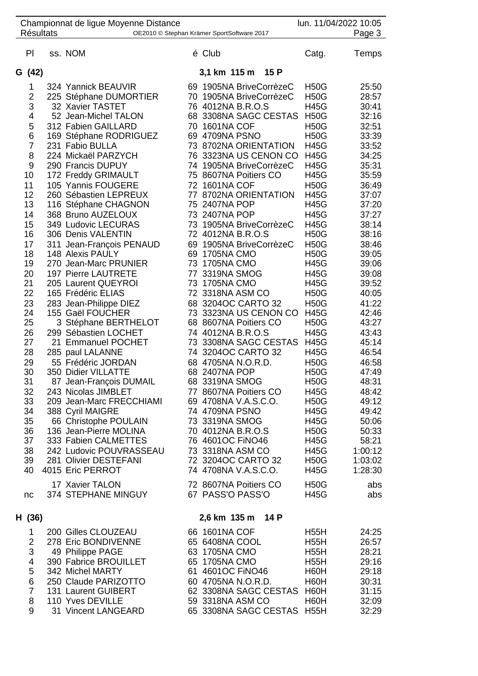| <b>Résultats</b>                                                                                                                                                                                             | Championnat de ligue Moyenne Distance                                                                                                                                                                                                                                                                                                                                                                                                                                                                                                                                                                                                                                                                                                                                                                          |    | OE2010 © Stephan Krämer SportSoftware 2017                                                                                                                                                                                                                                                                                                                                                                                                                                                                                                                                                                                                                                                                                                                        |                                                                                                                                                                                                                                                                                                                                                                                                                                                                                                                            | lun. 11/04/2022 10:05<br>Page 3                                                                                                                                                                                                                                                                                |
|--------------------------------------------------------------------------------------------------------------------------------------------------------------------------------------------------------------|----------------------------------------------------------------------------------------------------------------------------------------------------------------------------------------------------------------------------------------------------------------------------------------------------------------------------------------------------------------------------------------------------------------------------------------------------------------------------------------------------------------------------------------------------------------------------------------------------------------------------------------------------------------------------------------------------------------------------------------------------------------------------------------------------------------|----|-------------------------------------------------------------------------------------------------------------------------------------------------------------------------------------------------------------------------------------------------------------------------------------------------------------------------------------------------------------------------------------------------------------------------------------------------------------------------------------------------------------------------------------------------------------------------------------------------------------------------------------------------------------------------------------------------------------------------------------------------------------------|----------------------------------------------------------------------------------------------------------------------------------------------------------------------------------------------------------------------------------------------------------------------------------------------------------------------------------------------------------------------------------------------------------------------------------------------------------------------------------------------------------------------------|----------------------------------------------------------------------------------------------------------------------------------------------------------------------------------------------------------------------------------------------------------------------------------------------------------------|
| PI                                                                                                                                                                                                           | ss. NOM                                                                                                                                                                                                                                                                                                                                                                                                                                                                                                                                                                                                                                                                                                                                                                                                        |    | é Club                                                                                                                                                                                                                                                                                                                                                                                                                                                                                                                                                                                                                                                                                                                                                            | Catg.                                                                                                                                                                                                                                                                                                                                                                                                                                                                                                                      | Temps                                                                                                                                                                                                                                                                                                          |
| G (42)                                                                                                                                                                                                       |                                                                                                                                                                                                                                                                                                                                                                                                                                                                                                                                                                                                                                                                                                                                                                                                                |    | 15 P<br>3,1 km 115 m                                                                                                                                                                                                                                                                                                                                                                                                                                                                                                                                                                                                                                                                                                                                              |                                                                                                                                                                                                                                                                                                                                                                                                                                                                                                                            |                                                                                                                                                                                                                                                                                                                |
| 1<br>$\overline{2}$<br>3<br>4<br>5<br>6<br>7<br>8<br>9<br>10<br>11<br>12<br>13<br>14<br>15<br>16<br>17<br>18<br>19<br>20<br>21<br>22<br>23<br>24<br>25<br>26<br>27<br>28<br>29<br>30<br>31<br>32<br>33<br>34 | 324 Yannick BEAUVIR<br>225 Stéphane DUMORTIER<br>32 Xavier TASTET<br>52 Jean-Michel TALON<br>312 Fabien GAILLARD<br>169 Stéphane RODRIGUEZ<br>231 Fabio BULLA<br>224 Mickaël PARZYCH<br>290 Francis DUPUY<br>172 Freddy GRIMAULT<br>105 Yannis FOUGERE<br>260 Sébastien LEPREUX<br>116 Stéphane CHAGNON<br>368 Bruno AUZELOUX<br>349 Ludovic LECURAS<br>306 Denis VALENTIN<br>311 Jean-François PENAUD<br>148 Alexis PAULY<br>270 Jean-Marc PRUNIER<br>197 Pierre LAUTRETE<br>205 Laurent QUEYROI<br>165 Frédéric ELIAS<br>283 Jean-Philippe DIEZ<br>155 Gaël FOUCHER<br>3 Stéphane BERTHELOT<br>299 Sébastien LOCHET<br>21 Emmanuel POCHET<br>285 paul LALANNE<br>55 Frédéric JORDAN<br>350 Didier VILLATTE<br>87 Jean-François DUMAIL<br>243 Nicolas JIMBLET<br>209 Jean-Marc FRECCHIAMI<br>388 Cyril MAIGRE |    | 69 1905NA BriveCorrèzeC<br>70 1905NA BriveCorrèzeC<br>76 4012NA B.R.O.S<br>68 3308NA SAGC CESTAS<br>70 1601NA COF<br>69 4709NA PSNO<br>73 8702NA ORIENTATION<br>76 3323NA US CENON CO<br>74 1905NA BriveCorrèzeC<br>75 8607NA Poitiers CO<br>72 1601NA COF<br>77 8702NA ORIENTATION<br>75 2407NA POP<br>73 2407NA POP<br>73 1905NA BriveCorrèzeC<br>72 4012NA B.R.O.S<br>69 1905NA BriveCorrèzeC<br>69 1705NA CMO<br>73 1705NA CMO<br>77 3319NA SMOG<br>73 1705NA CMO<br>72 3318NA ASM CO<br>68 3204OC CARTO 32<br>73 3323NA US CENON CO<br>68 8607NA Poitiers CO<br>74 4012NA B.R.O.S<br>73 3308NA SAGC CESTAS<br>74 3204OC CARTO 32<br>68 4705NA N.O.R.D.<br>68 2407NA POP<br>68 3319NA SMOG<br>77 8607NA Poitiers CO<br>69 4708NA V.A.S.C.O.<br>74 4709NA PSNO | <b>H50G</b><br><b>H50G</b><br><b>H45G</b><br><b>H50G</b><br><b>H50G</b><br><b>H50G</b><br><b>H45G</b><br><b>H45G</b><br><b>H45G</b><br><b>H45G</b><br><b>H50G</b><br><b>H45G</b><br><b>H45G</b><br><b>H45G</b><br><b>H45G</b><br><b>H50G</b><br><b>H50G</b><br><b>H50G</b><br><b>H45G</b><br><b>H45G</b><br><b>H45G</b><br><b>H50G</b><br><b>H50G</b><br><b>H45G</b><br><b>H50G</b><br><b>H45G</b><br><b>H45G</b><br><b>H45G</b><br><b>H50G</b><br><b>H50G</b><br><b>H50G</b><br><b>H45G</b><br><b>H50G</b><br><b>H45G</b> | 25:50<br>28:57<br>30:41<br>32:16<br>32:51<br>33:39<br>33:52<br>34:25<br>35:31<br>35:59<br>36:49<br>37:07<br>37:20<br>37:27<br>38:14<br>38:16<br>38:46<br>39:05<br>39:06<br>39:08<br>39:52<br>40:05<br>41:22<br>42:46<br>43:27<br>43:43<br>45:14<br>46:54<br>46:58<br>47:49<br>48:31<br>48:42<br>49:12<br>49:42 |
| 35<br>36<br>37<br>38<br>39<br>40<br>nc                                                                                                                                                                       | 66 Christophe POULAIN<br>136 Jean-Pierre MOLINA<br>333 Fabien CALMETTES<br>242 Ludovic POUVRASSEAU<br>281 Olivier DESTEFANI<br>4015 Eric PERROT<br>17 Xavier TALON<br>374 STEPHANE MINGUY                                                                                                                                                                                                                                                                                                                                                                                                                                                                                                                                                                                                                      |    | 73 3319NA SMOG<br>70 4012NA B.R.O.S<br>76 4601OC FINO46<br>73 3318NA ASM CO<br>72 3204OC CARTO 32<br>74 4708NA V.A.S.C.O.<br>72 8607NA Poitiers CO<br>67 PASS'O PASS'O                                                                                                                                                                                                                                                                                                                                                                                                                                                                                                                                                                                            | <b>H45G</b><br><b>H50G</b><br><b>H45G</b><br><b>H45G</b><br><b>H50G</b><br><b>H45G</b><br><b>H50G</b><br><b>H45G</b>                                                                                                                                                                                                                                                                                                                                                                                                       | 50:06<br>50:33<br>58:21<br>1:00:12<br>1:03:02<br>1:28:30<br>abs<br>abs                                                                                                                                                                                                                                         |
| H (36)                                                                                                                                                                                                       |                                                                                                                                                                                                                                                                                                                                                                                                                                                                                                                                                                                                                                                                                                                                                                                                                |    | 2,6 km 135 m<br>14 P                                                                                                                                                                                                                                                                                                                                                                                                                                                                                                                                                                                                                                                                                                                                              |                                                                                                                                                                                                                                                                                                                                                                                                                                                                                                                            |                                                                                                                                                                                                                                                                                                                |
| 1                                                                                                                                                                                                            | 200 Gilles CLOUZEAU                                                                                                                                                                                                                                                                                                                                                                                                                                                                                                                                                                                                                                                                                                                                                                                            |    | 66 1601NA COF                                                                                                                                                                                                                                                                                                                                                                                                                                                                                                                                                                                                                                                                                                                                                     | <b>H55H</b>                                                                                                                                                                                                                                                                                                                                                                                                                                                                                                                | 24:25                                                                                                                                                                                                                                                                                                          |
| 2<br>3<br>4<br>5<br>6<br>$\overline{7}$<br>8<br>9                                                                                                                                                            | 278 Eric BONDIVENNE<br>49 Philippe PAGE<br>390 Fabrice BROUILLET<br>342 Michel MARTY<br>250 Claude PARIZOTTO<br>131 Laurent GUIBERT<br>110 Yves DEVILLE<br>31 Vincent LANGEARD                                                                                                                                                                                                                                                                                                                                                                                                                                                                                                                                                                                                                                 | 61 | 65 6408NA COOL<br>63 1705NA CMO<br>65 1705NA CMO<br>4601OC FINO46<br>60 4705NA N.O.R.D.<br>62 3308NA SAGC CESTAS H60H<br>59 3318NA ASM CO<br>65 3308NA SAGC CESTAS H55H                                                                                                                                                                                                                                                                                                                                                                                                                                                                                                                                                                                           | <b>H55H</b><br><b>H55H</b><br><b>H55H</b><br>H60H<br>H60H<br>H60H                                                                                                                                                                                                                                                                                                                                                                                                                                                          | 26:57<br>28:21<br>29:16<br>29:18<br>30:31<br>31:15<br>32:09<br>32:29                                                                                                                                                                                                                                           |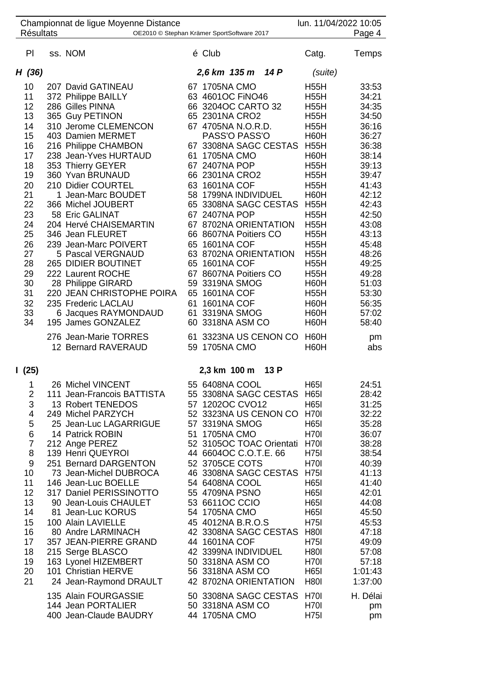| <b>Résultats</b>                                                                                                                                   | Championnat de ligue Moyenne Distance<br>OE2010 © Stephan Krämer SportSoftware 2017                                                                                                                                                                                                                                                                                                                                                                                                                                                                                                                   |          |                                                                                                                                                                                                                                                                                                                                                                                                                                                                                                                                            |      | lun. 11/04/2022 10:05                                                                                                                                                                                                                                                                                                                      | Page 4                                                                                                                                                                                                                        |
|----------------------------------------------------------------------------------------------------------------------------------------------------|-------------------------------------------------------------------------------------------------------------------------------------------------------------------------------------------------------------------------------------------------------------------------------------------------------------------------------------------------------------------------------------------------------------------------------------------------------------------------------------------------------------------------------------------------------------------------------------------------------|----------|--------------------------------------------------------------------------------------------------------------------------------------------------------------------------------------------------------------------------------------------------------------------------------------------------------------------------------------------------------------------------------------------------------------------------------------------------------------------------------------------------------------------------------------------|------|--------------------------------------------------------------------------------------------------------------------------------------------------------------------------------------------------------------------------------------------------------------------------------------------------------------------------------------------|-------------------------------------------------------------------------------------------------------------------------------------------------------------------------------------------------------------------------------|
| P <sub>1</sub>                                                                                                                                     | ss. NOM                                                                                                                                                                                                                                                                                                                                                                                                                                                                                                                                                                                               |          | é Club                                                                                                                                                                                                                                                                                                                                                                                                                                                                                                                                     |      | Catg.                                                                                                                                                                                                                                                                                                                                      | Temps                                                                                                                                                                                                                         |
| H (36)                                                                                                                                             |                                                                                                                                                                                                                                                                                                                                                                                                                                                                                                                                                                                                       |          | 2,6 km 135 m 14 P                                                                                                                                                                                                                                                                                                                                                                                                                                                                                                                          |      | (suite)                                                                                                                                                                                                                                                                                                                                    |                                                                                                                                                                                                                               |
| 10<br>11<br>12<br>13<br>14<br>15<br>16<br>17<br>18<br>19<br>20<br>21<br>22<br>23<br>24<br>25<br>26<br>27<br>28<br>29<br>30<br>31<br>32<br>33<br>34 | 207 David GATINEAU<br>372 Philippe BAILLY<br>286 Gilles PINNA<br>365 Guy PETINON<br>310 Jerome CLEMENCON<br>403 Damien MERMET<br>216 Philippe CHAMBON<br>238 Jean-Yves HURTAUD<br>353 Thierry GEYER<br>360 Yvan BRUNAUD<br>210 Didier COURTEL<br>1 Jean-Marc BOUDET<br>366 Michel JOUBERT<br>58 Eric GALINAT<br>204 Hervé CHAISEMARTIN<br>346 Jean FLEURET<br>239 Jean-Marc POIVERT<br>5 Pascal VERGNAUD<br>265 DIDIER BOUTINET<br>222 Laurent ROCHE<br>28 Philippe GIRARD<br>220 JEAN CHRISTOPHE POIRA<br>235 Frederic LACLAU<br>6 Jacques RAYMONDAUD<br>195 James GONZALEZ<br>276 Jean-Marie TORRES | 61<br>61 | 67 1705NA CMO<br>63 4601OC FINO46<br>66 3204OC CARTO 32<br>65 2301NA CRO2<br>67 4705NA N.O.R.D.<br>PASS'O PASS'O<br>67 3308NA SAGC CESTAS<br><b>1705NA CMO</b><br>67 2407NA POP<br>66 2301NA CRO2<br>63 1601NA COF<br>58 1799NA INDIVIDUEL<br>65 3308NA SAGC CESTAS<br>67 2407NA POP<br>67 8702NA ORIENTATION<br>66 8607NA Poitiers CO<br>65 1601NA COF<br>63 8702NA ORIENTATION<br>65 1601NA COF<br>67 8607NA Poitiers CO<br>59 3319NA SMOG<br>65 1601NA COF<br>1601NA COF<br>61 3319NA SMOG<br>60 3318NA ASM CO<br>61 3323NA US CENON CO |      | <b>H55H</b><br><b>H55H</b><br><b>H55H</b><br><b>H55H</b><br><b>H55H</b><br>H60H<br><b>H55H</b><br>H60H<br><b>H55H</b><br><b>H55H</b><br><b>H55H</b><br>H60H<br><b>H55H</b><br><b>H55H</b><br><b>H55H</b><br><b>H55H</b><br><b>H55H</b><br><b>H55H</b><br><b>H55H</b><br><b>H55H</b><br>H60H<br><b>H55H</b><br>H60H<br>H60H<br>H60H<br>H60H | 33:53<br>34:21<br>34:35<br>34:50<br>36:16<br>36:27<br>36:38<br>38:14<br>39:13<br>39:47<br>41:43<br>42:12<br>42:43<br>42:50<br>43:08<br>43:13<br>45:48<br>48:26<br>49:25<br>49:28<br>51:03<br>53:30<br>56:35<br>57:02<br>58:40 |
|                                                                                                                                                    | 12 Bernard RAVERAUD                                                                                                                                                                                                                                                                                                                                                                                                                                                                                                                                                                                   |          | 59 1705NA CMO<br>2,3 km 100 m                                                                                                                                                                                                                                                                                                                                                                                                                                                                                                              | 13 P | H60H                                                                                                                                                                                                                                                                                                                                       | pm<br>abs                                                                                                                                                                                                                     |
| l (25)<br>1<br>2<br>3<br>4<br>5<br>6<br>7<br>8<br>9<br>10<br>11<br>12<br>13<br>14<br>15<br>16<br>17<br>18<br>19<br>20<br>21                        | 26 Michel VINCENT<br>111 Jean-Francois BATTISTA<br>13 Robert TENEDOS<br>249 Michel PARZYCH<br>25 Jean-Luc LAGARRIGUE<br>14 Patrick ROBIN<br>212 Ange PEREZ<br>139 Henri QUEYROI<br>251 Bernard DARGENTON<br>73 Jean-Michel DUBROCA<br>146 Jean-Luc BOELLE<br>317 Daniel PERISSINOTTO<br>90 Jean-Louis CHAULET<br>81 Jean-Luc KORUS<br>100 Alain LAVIELLE<br>80 Andre LARMINACH<br>357 JEAN-PIERRE GRAND<br>215 Serge BLASCO<br>163 Lyonel HIZEMBERT<br>101 Christian HERVE<br>24 Jean-Raymond DRAULT<br>135 Alain FOURGASSIE<br>144 Jean PORTALIER                                                    |          | 55 6408NA COOL<br>55 3308NA SAGC CESTAS<br>57 1202OC CVO12<br>52 3323NA US CENON CO H70I<br>57 3319NA SMOG<br>51 1705NA CMO<br>52 3105OC TOAC Orientati<br>44 6604OC C.O.T.E. 66<br>52 3705CE COTS<br>46 3308NA SAGC CESTAS<br>54 6408NA COOL<br>55 4709NA PSNO<br>53 6611OC CCIO<br>54 1705NA CMO<br>45 4012NA B.R.O.S<br>42 3308NA SAGC CESTAS<br>44 1601NA COF<br>42 3399NA INDIVIDUEL<br>50 3318NA ASM CO<br>56 3318NA ASM CO<br>42 8702NA ORIENTATION<br>50 3308NA SAGC CESTAS<br>50 3318NA ASM CO                                    |      | H651<br><b>H65I</b><br>H65I<br>H65I<br><b>H70I</b><br>H <sub>70</sub><br>H75I<br><b>H70I</b><br><b>H751</b><br><b>H65I</b><br>H65I<br>H65I<br>H65I<br><b>H751</b><br><b>H80I</b><br><b>H751</b><br><b>H80I</b><br>H <sub>70</sub><br><b>H65I</b><br><b>H80I</b><br>H70I<br>H <sub>70</sub>                                                 | 24:51<br>28:42<br>31:25<br>32:22<br>35:28<br>36:07<br>38:28<br>38:54<br>40:39<br>41:13<br>41:40<br>42:01<br>44:08<br>45:50<br>45:53<br>47:18<br>49:09<br>57:08<br>57:18<br>1:01:43<br>1:37:00<br>H. Délai<br>pm               |
|                                                                                                                                                    | 400 Jean-Claude BAUDRY                                                                                                                                                                                                                                                                                                                                                                                                                                                                                                                                                                                |          | 44 1705NA CMO                                                                                                                                                                                                                                                                                                                                                                                                                                                                                                                              |      | <b>H751</b>                                                                                                                                                                                                                                                                                                                                | pm                                                                                                                                                                                                                            |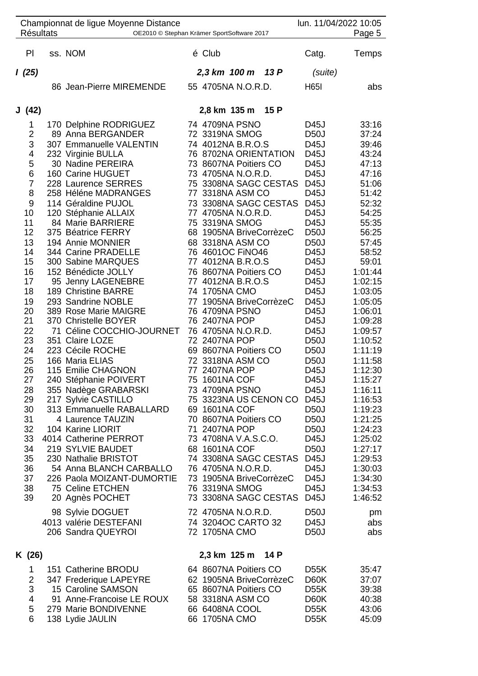| <b>Résultats</b>                                                                                                                                                                                                                           | Championnat de ligue Moyenne Distance<br>OE2010 © Stephan Krämer SportSoftware 2017                                                                                                                                                                                                                                                                                                                                                                                                                                                                                                                                                                                                                                                                                                                                                                                                                                                               |                                                                                                                                                                                                                                                                                                                                                                                                                                                                                                                                                                                                                                           |                                                                                                                                                                                                                                          | lun. 11/04/2022 10:05                                                                                                                                                                                                                                                                                                                                                                                                                     | Page 5                                                                                                                                                                                                                                                                                                                                                                                                            |
|--------------------------------------------------------------------------------------------------------------------------------------------------------------------------------------------------------------------------------------------|---------------------------------------------------------------------------------------------------------------------------------------------------------------------------------------------------------------------------------------------------------------------------------------------------------------------------------------------------------------------------------------------------------------------------------------------------------------------------------------------------------------------------------------------------------------------------------------------------------------------------------------------------------------------------------------------------------------------------------------------------------------------------------------------------------------------------------------------------------------------------------------------------------------------------------------------------|-------------------------------------------------------------------------------------------------------------------------------------------------------------------------------------------------------------------------------------------------------------------------------------------------------------------------------------------------------------------------------------------------------------------------------------------------------------------------------------------------------------------------------------------------------------------------------------------------------------------------------------------|------------------------------------------------------------------------------------------------------------------------------------------------------------------------------------------------------------------------------------------|-------------------------------------------------------------------------------------------------------------------------------------------------------------------------------------------------------------------------------------------------------------------------------------------------------------------------------------------------------------------------------------------------------------------------------------------|-------------------------------------------------------------------------------------------------------------------------------------------------------------------------------------------------------------------------------------------------------------------------------------------------------------------------------------------------------------------------------------------------------------------|
| PI                                                                                                                                                                                                                                         | ss. NOM                                                                                                                                                                                                                                                                                                                                                                                                                                                                                                                                                                                                                                                                                                                                                                                                                                                                                                                                           | é Club                                                                                                                                                                                                                                                                                                                                                                                                                                                                                                                                                                                                                                    |                                                                                                                                                                                                                                          | Catg.                                                                                                                                                                                                                                                                                                                                                                                                                                     | Temps                                                                                                                                                                                                                                                                                                                                                                                                             |
| 1(25)                                                                                                                                                                                                                                      |                                                                                                                                                                                                                                                                                                                                                                                                                                                                                                                                                                                                                                                                                                                                                                                                                                                                                                                                                   | 2,3 km 100 m 13 P                                                                                                                                                                                                                                                                                                                                                                                                                                                                                                                                                                                                                         |                                                                                                                                                                                                                                          | (suite)                                                                                                                                                                                                                                                                                                                                                                                                                                   |                                                                                                                                                                                                                                                                                                                                                                                                                   |
|                                                                                                                                                                                                                                            | 86 Jean-Pierre MIREMENDE                                                                                                                                                                                                                                                                                                                                                                                                                                                                                                                                                                                                                                                                                                                                                                                                                                                                                                                          | 55 4705NA N.O.R.D.                                                                                                                                                                                                                                                                                                                                                                                                                                                                                                                                                                                                                        |                                                                                                                                                                                                                                          | <b>H65I</b>                                                                                                                                                                                                                                                                                                                                                                                                                               | abs                                                                                                                                                                                                                                                                                                                                                                                                               |
| J(42)                                                                                                                                                                                                                                      |                                                                                                                                                                                                                                                                                                                                                                                                                                                                                                                                                                                                                                                                                                                                                                                                                                                                                                                                                   | 2,8 km 135 m 15 P                                                                                                                                                                                                                                                                                                                                                                                                                                                                                                                                                                                                                         |                                                                                                                                                                                                                                          |                                                                                                                                                                                                                                                                                                                                                                                                                                           |                                                                                                                                                                                                                                                                                                                                                                                                                   |
| 1<br>2<br>3<br>4<br>5<br>6<br>$\overline{7}$<br>8<br>9<br>10<br>11<br>12<br>13<br>14<br>15<br>16<br>17<br>18<br>19<br>20<br>21<br>22<br>23<br>24<br>25<br>26<br>27<br>28<br>29<br>30<br>31<br>32<br>33<br>34<br>35<br>36<br>37<br>38<br>39 | 170 Delphine RODRIGUEZ<br>89 Anna BERGANDER<br>307 Emmanuelle VALENTIN<br>232 Virginie BULLA<br>30 Nadine PEREIRA<br>160 Carine HUGUET<br>228 Laurence SERRES<br>258 Héléne MADRANGES<br>114 Géraldine PUJOL<br>120 Stéphanie ALLAIX<br>84 Marie BARRIERE<br>375 Béatrice FERRY<br>194 Annie MONNIER<br>344 Carine PRADELLE<br>300 Sabine MARQUES<br>152 Bénédicte JOLLY<br>95 Jenny LAGENEBRE<br>189 Christine BARRE<br>293 Sandrine NOBLE<br>389 Rose Marie MAIGRE<br>370 Christelle BOYER<br>71 Céline COCCHIO-JOURNET<br>351 Claire LOZE<br>223 Cécile ROCHE<br>166 Maria ELIAS<br>115 Emilie CHAGNON<br>240 Stéphanie POIVERT<br>355 Nadège GRABARSKI<br>217 Sylvie CASTILLO<br>313 Emmanuelle RABALLARD<br>4 Laurence TAUZIN<br>104 Karine LIORIT<br>4014 Catherine PERROT<br>219 SYLVIE BAUDET<br>230 Nathalie BRISTOT<br>54 Anna BLANCH CARBALLO<br>226 Paola MOIZANT-DUMORTIE<br>75 Celine ETCHEN<br>20 Agnès POCHET<br>98 Sylvie DOGUET | 74 4709NA PSNO<br>72 3319NA SMOG<br>74 4012NA B.R.O.S<br>73 8607NA Poitiers CO<br>73 4705NA N.O.R.D.<br>77 3318NA ASM CO<br>77 4705NA N.O.R.D.<br>75 3319NA SMOG<br>68 3318NA ASM CO<br>76 4601OC FiNO46<br>77 4012NA B.R.O.S<br>76 8607NA Poitiers CO<br>77 4012NA B.R.O.S<br>74 1705NA CMO<br>76 4709NA PSNO<br>76 2407NA POP<br>76 4705NA N.O.R.D.<br>72 2407NA POP<br>69 8607NA Poitiers CO<br>72 3318NA ASM CO<br>77 2407NA POP<br>75 1601NA COF<br>73 4709NA PSNO<br>69 1601NA COF<br>70 8607NA Poitiers CO<br>71 2407NA POP<br>73 4708NA V.A.S.C.O.<br>68 1601NA COF<br>76 4705NA N.O.R.D.<br>76 3319NA SMOG<br>72 4705NA N.O.R.D. | 76 8702NA ORIENTATION<br>75 3308NA SAGC CESTAS<br>73 3308NA SAGC CESTAS<br>68 1905NA BriveCorrèzeC<br>77 1905NA BriveCorrèzeC<br>75 3323NA US CENON CO D45J<br>74 3308NA SAGC CESTAS<br>73 1905NA BriveCorrèzeC<br>73 3308NA SAGC CESTAS | D45J<br><b>D50J</b><br>D45J<br>D45J<br>D45J<br>D45J<br>D45J<br>D45J<br>D45J<br>D45J<br>D45J<br>D <sub>50</sub> J<br>D <sub>50</sub> J<br>D45J<br>D45J<br>D45J<br>D45J<br>D45J<br>D45J<br>D45J<br>D45J<br>D45J<br><b>D50J</b><br>D <sub>50</sub> J<br><b>D50J</b><br>D45J<br>D45J<br>D45J<br><b>D50J</b><br>D <sub>50</sub> J<br>D <sub>50</sub><br>D45J<br>D <sub>50</sub> J<br>D45J<br>D45J<br>D45J<br>D45J<br>D45J<br>D <sub>50</sub> J | 33:16<br>37:24<br>39:46<br>43:24<br>47:13<br>47:16<br>51:06<br>51:42<br>52:32<br>54:25<br>55:35<br>56:25<br>57:45<br>58:52<br>59:01<br>1:01:44<br>1:02:15<br>1:03:05<br>1:05:05<br>1:06:01<br>1:09:28<br>1:09:57<br>1:10:52<br>1:11:19<br>1:11:58<br>1:12:30<br>1:15:27<br>1:16:11<br>1:16:53<br>1:19:23<br>1:21:25<br>1:24:23<br>1:25:02<br>1:27:17<br>1:29:53<br>1:30:03<br>1:34:30<br>1:34:53<br>1:46:52<br>pm |
|                                                                                                                                                                                                                                            | 4013 valérie DESTEFANI<br>206 Sandra QUEYROI                                                                                                                                                                                                                                                                                                                                                                                                                                                                                                                                                                                                                                                                                                                                                                                                                                                                                                      | 74 3204OC CARTO 32<br>72 1705NA CMO                                                                                                                                                                                                                                                                                                                                                                                                                                                                                                                                                                                                       |                                                                                                                                                                                                                                          | D45J<br>D <sub>50</sub> J                                                                                                                                                                                                                                                                                                                                                                                                                 | abs<br>abs                                                                                                                                                                                                                                                                                                                                                                                                        |
| K (26)                                                                                                                                                                                                                                     |                                                                                                                                                                                                                                                                                                                                                                                                                                                                                                                                                                                                                                                                                                                                                                                                                                                                                                                                                   | 2,3 km 125 m                                                                                                                                                                                                                                                                                                                                                                                                                                                                                                                                                                                                                              | 14 P                                                                                                                                                                                                                                     |                                                                                                                                                                                                                                                                                                                                                                                                                                           |                                                                                                                                                                                                                                                                                                                                                                                                                   |
| 1<br>2<br>3<br>4<br>5<br>6                                                                                                                                                                                                                 | 151 Catherine BRODU<br>347 Frederique LAPEYRE<br>15 Caroline SAMSON<br>91 Anne-Francoise LE ROUX<br>279 Marie BONDIVENNE<br>138 Lydie JAULIN                                                                                                                                                                                                                                                                                                                                                                                                                                                                                                                                                                                                                                                                                                                                                                                                      | 64 8607NA Poitiers CO<br>65 8607NA Poitiers CO<br>58 3318NA ASM CO<br>66 6408NA COOL<br>66 1705NA CMO                                                                                                                                                                                                                                                                                                                                                                                                                                                                                                                                     | 62 1905NA BriveCorrèzeC                                                                                                                                                                                                                  | D <sub>55</sub> K<br>D60K<br>D <sub>55</sub> K<br>D60K<br><b>D55K</b><br>D <sub>55</sub> K                                                                                                                                                                                                                                                                                                                                                | 35:47<br>37:07<br>39:38<br>40:38<br>43:06<br>45:09                                                                                                                                                                                                                                                                                                                                                                |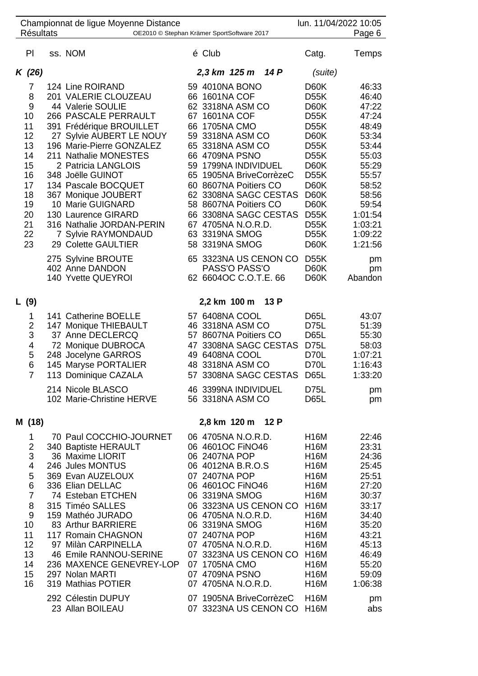| <b>Résultats</b>                                                                                               | Championnat de ligue Moyenne Distance                                                                                                                                                                                                                                                                                                                                                                                |    | OE2010 © Stephan Krämer SportSoftware 2017                                                                                                                                                                                                                                                                                                                       |      | lun. 11/04/2022 10:05                                                                                                                                                                                                                        | Page 6                                                                                                                                                        |
|----------------------------------------------------------------------------------------------------------------|----------------------------------------------------------------------------------------------------------------------------------------------------------------------------------------------------------------------------------------------------------------------------------------------------------------------------------------------------------------------------------------------------------------------|----|------------------------------------------------------------------------------------------------------------------------------------------------------------------------------------------------------------------------------------------------------------------------------------------------------------------------------------------------------------------|------|----------------------------------------------------------------------------------------------------------------------------------------------------------------------------------------------------------------------------------------------|---------------------------------------------------------------------------------------------------------------------------------------------------------------|
| P <sub>1</sub>                                                                                                 | ss. NOM                                                                                                                                                                                                                                                                                                                                                                                                              |    | é Club                                                                                                                                                                                                                                                                                                                                                           |      | Catg.                                                                                                                                                                                                                                        | Temps                                                                                                                                                         |
| K (26)                                                                                                         |                                                                                                                                                                                                                                                                                                                                                                                                                      |    | 2,3 km 125 m                                                                                                                                                                                                                                                                                                                                                     | 14 P | (suite)                                                                                                                                                                                                                                      |                                                                                                                                                               |
| 7<br>8<br>9<br>10<br>11<br>12<br>13<br>14<br>15<br>16<br>17<br>18<br>19<br>20<br>21<br>22<br>23                | 124 Line ROIRAND<br>201 VALERIE CLOUZEAU<br>44 Valerie SOULIE<br>266 PASCALE PERRAULT<br>391 Frédérique BROUILLET<br>27 Sylvie AUBERT LE NOUY<br>196 Marie-Pierre GONZALEZ<br>211 Nathalie MONESTES<br>2 Patricia LANGLOIS<br>348 Joëlle GUINOT<br>134 Pascale BOCQUET<br>367 Monique JOUBERT<br>10 Marie GUIGNARD<br>130 Laurence GIRARD<br>316 Nathalie JORDAN-PERIN<br>7 Sylvie RAYMONDAUD<br>29 Colette GAULTIER |    | 59 4010NA BONO<br>66 1601NA COF<br>62 3318NA ASM CO<br>67 1601NA COF<br>66 1705NA CMO<br>59 3318NA ASM CO<br>65 3318NA ASM CO<br>66 4709NA PSNO<br>59 1799NA INDIVIDUEL<br>65 1905NA BriveCorrèzeC<br>60 8607NA Poitiers CO<br>62 3308NA SAGC CESTAS<br>58 8607NA Poitiers CO<br>66 3308NA SAGC CESTAS<br>67 4705NA N.O.R.D.<br>63 3319NA SMOG<br>58 3319NA SMOG |      | D60K<br><b>D55K</b><br>D60K<br><b>D55K</b><br>D <sub>55</sub> K<br>D60K<br>D <sub>55</sub> K<br><b>D55K</b><br>D60K<br><b>D55K</b><br>D60K<br>D60K<br>D60K<br><b>D55K</b><br><b>D55K</b><br><b>D55K</b><br>D60K                              | 46:33<br>46:40<br>47:22<br>47:24<br>48:49<br>53:34<br>53:44<br>55:03<br>55:29<br>55:57<br>58:52<br>58:56<br>59:54<br>1:01:54<br>1:03:21<br>1:09:22<br>1:21:56 |
|                                                                                                                | 275 Sylvine BROUTE<br>402 Anne DANDON<br>140 Yvette QUEYROI                                                                                                                                                                                                                                                                                                                                                          |    | 65 3323NA US CENON CO<br>PASS'O PASS'O<br>62 6604OC C.O.T.E. 66                                                                                                                                                                                                                                                                                                  |      | <b>D55K</b><br>D60K<br>D60K                                                                                                                                                                                                                  | pm<br>pm<br>Abandon                                                                                                                                           |
| L (9)                                                                                                          |                                                                                                                                                                                                                                                                                                                                                                                                                      |    | 2,2 km 100 m                                                                                                                                                                                                                                                                                                                                                     | 13 P |                                                                                                                                                                                                                                              |                                                                                                                                                               |
| 1<br>$\overline{\mathbf{c}}$<br>3<br>4<br>5<br>6<br>$\overline{7}$                                             | 141 Catherine BOELLE<br>147 Monique THIEBAULT<br>37 Anne DECLERCQ<br>72 Monique DUBROCA<br>248 Jocelyne GARROS<br>145 Maryse PORTALIER<br>113 Dominique CAZALA<br>214 Nicole BLASCO<br>102 Marie-Christine HERVE                                                                                                                                                                                                     | 57 | 57 6408NA COOL<br>46 3318NA ASM CO<br>57 8607NA Poitiers CO<br>47 3308NA SAGC CESTAS<br>49 6408NA COOL<br>48 3318NA ASM CO<br>3308NA SAGC CESTAS<br>46 3399NA INDIVIDUEL<br>56 3318NA ASM CO                                                                                                                                                                     |      | <b>D65L</b><br>D75L<br>D65L<br>D75L<br>D70L<br>D70L<br><b>D65L</b><br>D75L<br><b>D65L</b>                                                                                                                                                    | 43:07<br>51:39<br>55:30<br>58:03<br>1:07:21<br>1:16:43<br>1:33:20<br>pm<br>pm                                                                                 |
| M (18)                                                                                                         |                                                                                                                                                                                                                                                                                                                                                                                                                      |    | 2,8 km 120 m 12 P                                                                                                                                                                                                                                                                                                                                                |      |                                                                                                                                                                                                                                              |                                                                                                                                                               |
| 1<br>2<br>3<br>4<br>5<br>$6\phantom{1}6$<br>$\overline{7}$<br>8<br>9<br>10<br>11<br>12<br>13<br>14<br>15<br>16 | 70 Paul COCCHIO-JOURNET<br>340 Baptiste HERAULT<br>36 Maxime LIORIT<br>246 Jules MONTUS<br>369 Evan AUZELOUX<br>336 Elian DELLAC<br>74 Esteban ETCHEN<br>315 Timéo SALLES<br>159 Mathéo JURADO<br>83 Arthur BARRIERE<br>117 Romain CHAGNON<br>97 Milàn CARPINELLA<br>46 Emile RANNOU-SERINE<br>236 MAXENCE GENEVREY-LOP<br>297 Nolan MARTI<br>319 Mathias POTIER                                                     |    | 06 4705NA N.O.R.D.<br>06 4601OC FiNO46<br>06 2407NA POP<br>06 4012NA B.R.O.S<br>07 2407NA POP<br>06 4601OC FINO46<br>06 3319NA SMOG<br>06 3323NA US CENON CO<br>06 4705NA N.O.R.D.<br>06 3319NA SMOG<br>07 2407NA POP<br>07 4705NA N.O.R.D.<br>07 3323NA US CENON CO<br>07 1705NA CMO<br>07 4709NA PSNO<br>07 4705NA N.O.R.D.                                    |      | <b>H16M</b><br><b>H16M</b><br><b>H16M</b><br><b>H16M</b><br><b>H16M</b><br><b>H16M</b><br><b>H16M</b><br><b>H16M</b><br><b>H16M</b><br><b>H16M</b><br><b>H16M</b><br><b>H16M</b><br><b>H16M</b><br><b>H16M</b><br><b>H16M</b><br><b>H16M</b> | 22:46<br>23:31<br>24:36<br>25:45<br>25:51<br>27:20<br>30:37<br>33:17<br>34:40<br>35:20<br>43:21<br>45:13<br>46:49<br>55:20<br>59:09<br>1:06:38                |
|                                                                                                                | 292 Célestin DUPUY<br>23 Allan BOILEAU                                                                                                                                                                                                                                                                                                                                                                               |    | 07 1905NA BriveCorrèzeC<br>07 3323NA US CENON CO                                                                                                                                                                                                                                                                                                                 |      | <b>H16M</b><br><b>H16M</b>                                                                                                                                                                                                                   | pm<br>abs                                                                                                                                                     |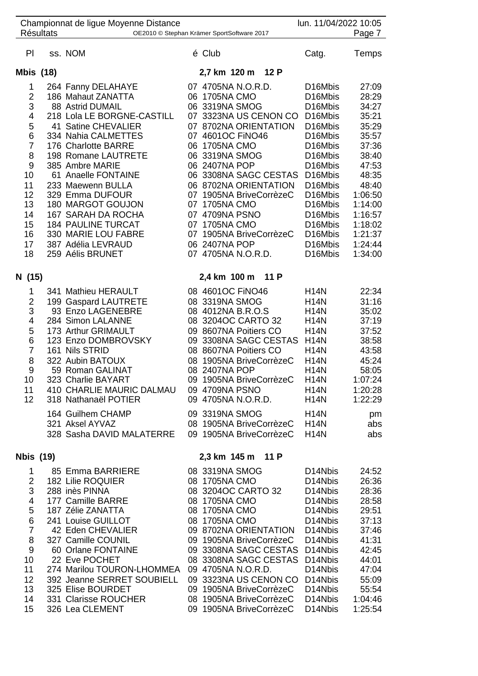|                                                                                                                       | <b>Résultats</b> | Championnat de ligue Moyenne Distance                                                                                                                                                                                                                                                                                                                                                                             | OE2010 © Stephan Krämer SportSoftware 2017                                                                                                                                                                                                                                                                                                                             | lun. 11/04/2022 10:05                                                                                                                                                                                                                                               | Page 7                                                                                                                                                            |
|-----------------------------------------------------------------------------------------------------------------------|------------------|-------------------------------------------------------------------------------------------------------------------------------------------------------------------------------------------------------------------------------------------------------------------------------------------------------------------------------------------------------------------------------------------------------------------|------------------------------------------------------------------------------------------------------------------------------------------------------------------------------------------------------------------------------------------------------------------------------------------------------------------------------------------------------------------------|---------------------------------------------------------------------------------------------------------------------------------------------------------------------------------------------------------------------------------------------------------------------|-------------------------------------------------------------------------------------------------------------------------------------------------------------------|
| PI                                                                                                                    |                  | ss. NOM                                                                                                                                                                                                                                                                                                                                                                                                           | é Club                                                                                                                                                                                                                                                                                                                                                                 | Catg.                                                                                                                                                                                                                                                               | Temps                                                                                                                                                             |
| Mbis (18)                                                                                                             |                  |                                                                                                                                                                                                                                                                                                                                                                                                                   | 2,7 km 120 m 12 P                                                                                                                                                                                                                                                                                                                                                      |                                                                                                                                                                                                                                                                     |                                                                                                                                                                   |
| 1<br>$\overline{2}$<br>3<br>4<br>5<br>6<br>7<br>8<br>9<br>10<br>11<br>12<br>13<br>14<br>15<br>16<br>17                |                  | 264 Fanny DELAHAYE<br>186 Mahaut ZANATTA<br>88 Astrid DUMAIL<br>218 Lola LE BORGNE-CASTILL<br>41 Satine CHEVALIER<br>334 Nahia CALMETTES<br>176 Charlotte BARRE<br>198 Romane LAUTRETE<br>385 Ambre MARIE<br>61 Anaelle FONTAINE<br>233 Maewenn BULLA<br>329 Emma DUFOUR<br>180 MARGOT GOUJON<br>167 SARAH DA ROCHA<br><b>184 PAULINE TURCAT</b><br>330 MARIE LOU FABRE<br>387 Adélia LEVRAUD<br>259 Aélis BRUNET | 07 4705NA N.O.R.D.<br>06 1705NA CMO<br>06 3319NA SMOG<br>07 3323NA US CENON CO<br>07 8702NA ORIENTATION<br>07 4601OC FINO46<br>06 1705NA CMO<br>06 3319NA SMOG<br>06 2407NA POP<br>06 3308NA SAGC CESTAS<br>06 8702NA ORIENTATION<br>07 1905NA BriveCorrèzeC<br>07 1705NA CMO<br>07 4709NA PSNO<br>07 1705NA CMO<br>07 1905NA BriveCorrèzeC<br>06 2407NA POP           | D <sub>16</sub> Mbis<br>D16Mbis<br>D16Mbis<br>D <sub>16</sub> Mbis<br>D16Mbis<br>D16Mbis<br>D16Mbis<br>D16Mbis<br>D16Mbis<br>D16Mbis<br>D16Mbis<br>D16Mbis<br>D <sub>16</sub> Mbis<br>D <sub>16</sub> Mbis<br>D16Mbis<br>D16Mbis<br>D <sub>16</sub> Mbis<br>D16Mbis | 27:09<br>28:29<br>34:27<br>35:21<br>35:29<br>35:57<br>37:36<br>38:40<br>47:53<br>48:35<br>48:40<br>1:06:50<br>1:14:00<br>1:16:57<br>1:18:02<br>1:21:37<br>1:24:44 |
| 18                                                                                                                    |                  |                                                                                                                                                                                                                                                                                                                                                                                                                   | 07 4705NA N.O.R.D.                                                                                                                                                                                                                                                                                                                                                     |                                                                                                                                                                                                                                                                     | 1:34:00                                                                                                                                                           |
| N (15)                                                                                                                |                  |                                                                                                                                                                                                                                                                                                                                                                                                                   | 2,4 km 100 m<br><b>11 P</b>                                                                                                                                                                                                                                                                                                                                            |                                                                                                                                                                                                                                                                     |                                                                                                                                                                   |
| 1<br>$\overline{2}$<br>3<br>4<br>5<br>6<br>$\overline{7}$<br>8<br>9<br>10 <sup>°</sup><br>11<br>12                    |                  | 341 Mathieu HERAULT<br>199 Gaspard LAUTRETE<br>93 Enzo LAGENEBRE<br>284 Simon LALANNE<br>173 Arthur GRIMAULT<br>123 Enzo DOMBROVSKY<br>161 Nils STRID<br>322 Aubin BATOUX<br>59 Roman GALINAT<br>323 Charlie BAYART<br>410 CHARLIE MAURIC DALMAU<br>318 Nathanaël POTIER                                                                                                                                          | 08 4601OC FINO46<br>08 3319NA SMOG<br>08 4012NA B.R.O.S<br>08 3204OC CARTO 32<br>09 8607NA Poitiers CO<br>09 3308NA SAGC CESTAS<br>08 8607NA Poitiers CO<br>08 1905NA BriveCorrèzeC<br>08 2407NA POP<br>09 1905NA BriveCorrèzeC<br>09 4709NA PSNO<br>09 4705NA N.O.R.D.                                                                                                | <b>H14N</b><br><b>H14N</b><br><b>H14N</b><br><b>H14N</b><br><b>H14N</b><br><b>H14N</b><br><b>H14N</b><br><b>H14N</b><br><b>H14N</b><br><b>H14N</b><br><b>H14N</b><br><b>H14N</b>                                                                                    | 22:34<br>31:16<br>35:02<br>37:19<br>37:52<br>38:58<br>43:58<br>45:24<br>58:05<br>1:07:24<br>1:20:28<br>1:22:29                                                    |
|                                                                                                                       |                  | 164 Guilhem CHAMP<br>321 Aksel AYVAZ<br>328 Sasha DAVID MALATERRE                                                                                                                                                                                                                                                                                                                                                 | 09 3319NA SMOG<br>08 1905NA BriveCorrèzeC<br>09 1905NA BriveCorrèzeC                                                                                                                                                                                                                                                                                                   | <b>H14N</b><br><b>H14N</b><br><b>H14N</b>                                                                                                                                                                                                                           | pm<br>abs<br>abs                                                                                                                                                  |
| Nbis (19)                                                                                                             |                  |                                                                                                                                                                                                                                                                                                                                                                                                                   | 2,3 km 145 m 11 P                                                                                                                                                                                                                                                                                                                                                      |                                                                                                                                                                                                                                                                     |                                                                                                                                                                   |
| 1<br>$\overline{2}$<br>3<br>4<br>5<br>$6\phantom{1}6$<br>$\overline{7}$<br>8<br>9<br>10<br>11<br>12<br>13<br>14<br>15 |                  | 85 Emma BARRIERE<br>182 Lilie ROQUIER<br>288 inès PINNA<br>177 Camille BARRE<br>187 Zélie ZANATTA<br>241 Louise GUILLOT<br>42 Eden CHEVALIER<br>327 Camille COUNIL<br>60 Orlane FONTAINE<br>22 Eve POCHET<br>274 Marilou TOURON-LHOMMEA<br>392 Jeanne SERRET SOUBIELL<br>325 Elise BOURDET<br>331 Clarisse ROUCHER<br>326 Lea CLEMENT                                                                             | 08 3319NA SMOG<br>08 1705NA CMO<br>08 3204OC CARTO 32<br>08 1705NA CMO<br>08 1705NA CMO<br>08 1705NA CMO<br>09 8702NA ORIENTATION<br>09 1905NA BriveCorrèzeC<br>09 3308NA SAGC CESTAS D14Nbis<br>08 3308NA SAGC CESTAS D14Nbis<br>09 4705NA N.O.R.D.<br>09 3323NA US CENON CO D14Nbis<br>09 1905NA BriveCorrèzeC<br>08 1905NA BriveCorrèzeC<br>09 1905NA BriveCorrèzeC | D14Nbis<br>D <sub>14</sub> Nbis<br>D14Nbis<br>D14Nbis<br>D14Nbis<br>D14Nbis<br>D14Nbis<br>D14Nbis<br>D14Nbis<br>D14Nbis<br>D14Nbis<br>D14Nbis                                                                                                                       | 24:52<br>26:36<br>28:36<br>28:58<br>29:51<br>37:13<br>37:46<br>41:31<br>42:45<br>44:01<br>47:04<br>55:09<br>55:54<br>1:04:46<br>1:25:54                           |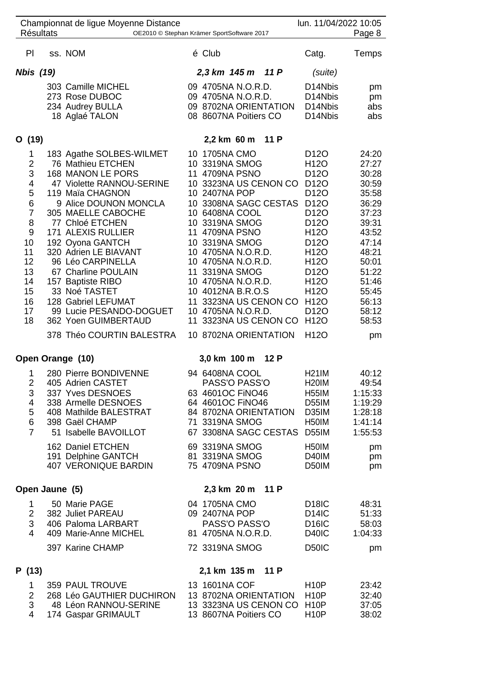|                                                                                                              | <b>Résultats</b> | Championnat de ligue Moyenne Distance                                                                                                                                                                                                                                                                                                                                                                                                             |                | OE2010 © Stephan Krämer SportSoftware 2017                                                                                                                                                                                                                                                                                                                                                    |      | lun. 11/04/2022 10:05                                                                                                                                                                                                                                                                                                                                                                         | Page 8                                                                                                                                                               |
|--------------------------------------------------------------------------------------------------------------|------------------|---------------------------------------------------------------------------------------------------------------------------------------------------------------------------------------------------------------------------------------------------------------------------------------------------------------------------------------------------------------------------------------------------------------------------------------------------|----------------|-----------------------------------------------------------------------------------------------------------------------------------------------------------------------------------------------------------------------------------------------------------------------------------------------------------------------------------------------------------------------------------------------|------|-----------------------------------------------------------------------------------------------------------------------------------------------------------------------------------------------------------------------------------------------------------------------------------------------------------------------------------------------------------------------------------------------|----------------------------------------------------------------------------------------------------------------------------------------------------------------------|
| PI                                                                                                           |                  | ss. NOM                                                                                                                                                                                                                                                                                                                                                                                                                                           |                | é Club                                                                                                                                                                                                                                                                                                                                                                                        |      | Catg.                                                                                                                                                                                                                                                                                                                                                                                         | Temps                                                                                                                                                                |
| Nbis (19)                                                                                                    |                  |                                                                                                                                                                                                                                                                                                                                                                                                                                                   |                | 2,3 km 145 m 11 P                                                                                                                                                                                                                                                                                                                                                                             |      | (suite)                                                                                                                                                                                                                                                                                                                                                                                       |                                                                                                                                                                      |
|                                                                                                              |                  | 303 Camille MICHEL<br>273 Rose DUBOC<br>234 Audrey BULLA<br>18 Aglaé TALON                                                                                                                                                                                                                                                                                                                                                                        |                | 09 4705NA N.O.R.D.<br>09 4705NA N.O.R.D.<br>09 8702NA ORIENTATION<br>08 8607NA Poitiers CO                                                                                                                                                                                                                                                                                                    |      | D <sub>14</sub> Nbis<br>D14Nbis<br>D14Nbis<br>D14Nbis                                                                                                                                                                                                                                                                                                                                         | pm<br>pm<br>abs<br>abs                                                                                                                                               |
| O (19)                                                                                                       |                  |                                                                                                                                                                                                                                                                                                                                                                                                                                                   |                | 2,2 km 60 m                                                                                                                                                                                                                                                                                                                                                                                   | 11 P |                                                                                                                                                                                                                                                                                                                                                                                               |                                                                                                                                                                      |
| 1<br>2<br>3<br>4<br>5<br>6<br>$\overline{7}$<br>8<br>9<br>10<br>11<br>12<br>13<br>14<br>15<br>16<br>17<br>18 |                  | 183 Agathe SOLBES-WILMET<br>76 Mathieu ETCHEN<br>168 MANON LE PORS<br>47 Violette RANNOU-SERINE<br>119 Maïa CHAGNON<br>9 Alice DOUNON MONCLA<br>305 MAELLE CABOCHE<br>77 Chloé ETCHEN<br>171 ALEXIS RULLIER<br>192 Oyona GANTCH<br>320 Adrien LE BIAVANT<br>96 Léo CARPINELLA<br>67 Charline POULAIN<br>157 Baptiste RIBO<br>33 Noé TASTET<br>128 Gabriel LEFUMAT<br>99 Lucie PESANDO-DOGUET<br>362 Yoen GUIMBERTAUD<br>378 Théo COURTIN BALESTRA | 11<br>11<br>11 | 10 1705NA CMO<br>10 3319NA SMOG<br>4709NA PSNO<br>10 3323NA US CENON CO<br>10 2407NA POP<br>10 3308NA SAGC CESTAS<br>10 6408NA COOL<br>10 3319NA SMOG<br>4709NA PSNO<br>10 3319NA SMOG<br>10 4705NA N.O.R.D.<br>10 4705NA N.O.R.D.<br>3319NA SMOG<br>10 4705NA N.O.R.D.<br>10 4012NA B.R.O.S<br>11 3323NA US CENON CO<br>10 4705NA N.O.R.D.<br>11 3323NA US CENON CO<br>10 8702NA ORIENTATION |      | D <sub>12</sub> O<br>H <sub>12</sub> O<br>D <sub>12</sub> O<br>D <sub>12</sub> O<br>D <sub>12</sub> O<br>D <sub>12</sub> O<br>D <sub>12</sub> O<br>D <sub>12</sub> O<br>H <sub>12</sub> O<br>D <sub>12</sub> O<br>H <sub>12</sub> O<br>H <sub>12</sub> O<br>D <sub>12</sub> O<br>H <sub>12</sub> O<br>H <sub>12</sub> O<br>H <sub>12</sub> O<br>D <sub>120</sub><br>H <sub>12</sub> O<br>H12O | 24:20<br>27:27<br>30:28<br>30:59<br>35:58<br>36:29<br>37:23<br>39:31<br>43:52<br>47:14<br>48:21<br>50:01<br>51:22<br>51:46<br>55:45<br>56:13<br>58:12<br>58:53<br>pm |
|                                                                                                              |                  | Open Orange (10)                                                                                                                                                                                                                                                                                                                                                                                                                                  |                | 3,0 km 100 m                                                                                                                                                                                                                                                                                                                                                                                  | 12P  |                                                                                                                                                                                                                                                                                                                                                                                               |                                                                                                                                                                      |
| 1<br>2<br>3<br>4<br>5<br>6<br>$\overline{7}$                                                                 |                  | 280 Pierre BONDIVENNE<br>405 Adrien CASTET<br>337 Yves DESNOES<br>338 Armelle DESNOES<br>408 Mathilde BALESTRAT<br>398 Gaël CHAMP<br>51 Isabelle BAVOILLOT<br>162 Daniel ETCHEN<br>191 Delphine GANTCH<br><b>407 VERONIQUE BARDIN</b>                                                                                                                                                                                                             |                | 94 6408NA COOL<br>PASS'O PASS'O<br>63 4601OC FINO46<br>64 4601OC FINO46<br>84 8702NA ORIENTATION<br>71 3319NA SMOG<br>67 3308NA SAGC CESTAS D55IM<br>69 3319NA SMOG<br>81 3319NA SMOG<br>75 4709NA PSNO                                                                                                                                                                                       |      | <b>H21IM</b><br><b>H20IM</b><br><b>H55IM</b><br>D55IM<br>D35IM<br>H <sub>50</sub> IM<br>H <sub>50</sub> IM<br>D40IM<br>D50IM                                                                                                                                                                                                                                                                  | 40:12<br>49:54<br>1:15:33<br>1:19:29<br>1:28:18<br>1:41:14<br>1:55:53<br>pm<br>pm<br>pm                                                                              |
|                                                                                                              | Open Jaune (5)   |                                                                                                                                                                                                                                                                                                                                                                                                                                                   |                | 2,3 km 20 m                                                                                                                                                                                                                                                                                                                                                                                   | 11 P |                                                                                                                                                                                                                                                                                                                                                                                               |                                                                                                                                                                      |
| 1<br>$\overline{2}$<br>3<br>4                                                                                |                  | 50 Marie PAGE<br>382 Juliet PAREAU<br>406 Paloma LARBART<br>409 Marie-Anne MICHEL<br>397 Karine CHAMP                                                                                                                                                                                                                                                                                                                                             |                | 04 1705NA CMO<br>09 2407NA POP<br>PASS'O PASS'O<br>81 4705NA N.O.R.D.<br>72 3319NA SMOG                                                                                                                                                                                                                                                                                                       |      | D <sub>18</sub> IC<br>D <sub>14</sub> IC<br>D <sub>16</sub> IC<br><b>D40IC</b><br>D <sub>50</sub> IC                                                                                                                                                                                                                                                                                          | 48:31<br>51:33<br>58:03<br>1:04:33<br>pm                                                                                                                             |
| P (13)                                                                                                       |                  |                                                                                                                                                                                                                                                                                                                                                                                                                                                   |                | 2,1 km 135 m 11 P                                                                                                                                                                                                                                                                                                                                                                             |      |                                                                                                                                                                                                                                                                                                                                                                                               |                                                                                                                                                                      |
| 1<br>$\overline{2}$<br>3<br>4                                                                                |                  | 359 PAUL TROUVE<br>268 Léo GAUTHIER DUCHIRON<br>48 Léon RANNOU-SERINE<br>174 Gaspar GRIMAULT                                                                                                                                                                                                                                                                                                                                                      |                | 13 1601NA COF<br>13 8702NA ORIENTATION<br>13 3323NA US CENON CO<br>13 8607NA Poitiers CO                                                                                                                                                                                                                                                                                                      |      | H <sub>10</sub> P<br><b>H10P</b><br><b>H10P</b><br>H <sub>10</sub> P                                                                                                                                                                                                                                                                                                                          | 23:42<br>32:40<br>37:05<br>38:02                                                                                                                                     |